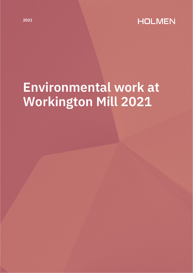

# **Environmental work at Workington Mill 2021**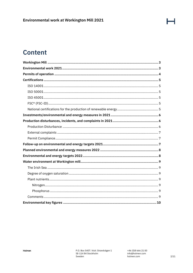### **Content**

Н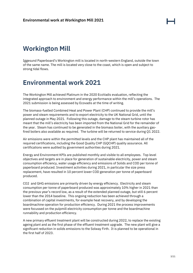### <span id="page-2-0"></span>**Workington Mill**

Iggesund Paperboard's Workington mill is located in north-western England, outside the town of the same name. The mill is located very close to the coast, which is open and subject to strong tidal flows.

### <span id="page-2-1"></span>**Environmental work 2021**

The Workington Mill achieved Platinum in the 2020 EcoVadis evaluation, reflecting the integrated approach to environment and energy performance within the mill's operations. The 2021 submission is being assessed by Ecovadis at the time of writing.

The biomass-fuelled Combined Heat and Power Plant (CHP) continued to provide the mill's power and steam requirements and to export electricity to the UK National Grid, until the planned outage in May 2021. Following this outage, damage to the steam turbine rotor has meant that the mill's electricity has been imported from the National Grid for the remainder of the year. Steam has continued to be generated in the biomass boiler, with the auxiliary gasfired boilers also available as required. The turbine will be returned to service during Q1 2022.

Air emissions were within the permitted levels and the CHP plant has maintained all of the required certifications, including the Good Quality CHP (GQCHP) quality assurance. All certifications were audited by government authorities during 2021.

Energy and Environment KPIs are published monthly and visible to all employees. Top level objectives and targets are in place for generation of sustainable electricity, power and steam consumption efficiency, water usage efficiency and emissions of Solids and COD per tonne of paperboard produced. Investment activities during 2021, in particular the size press replacement, have resulted in 10 percent lower COD generation per tonne of paperboard produced.

CO2 and GHG emissions are primarily driven by energy efficiency. Electricity and steam consumption per tonne of paperboard produced was approximately 10% higher in 2021 than the previous year's record low, as a result of the extended planned outage, but still 6 percent lower than the 2014 baseline. This ongoing reduction has been achieved through a combination of capital investments, for example heat recovery, and by developing the boardmachine operation for production efficiency. During 2021 the process improvements were focussed on the pulpmill electricity consumption per tonne and the boardmachine runnability and production efficiency.

A new primary effluent treatment plant will be constructed during 2022, to replace the existing ageing plant and as the first phase of the effluent treatment upgrade. The new plant will give a significant reduction in solids emissions to the Solway Firth. It is planned to be operational in the first half of 2023.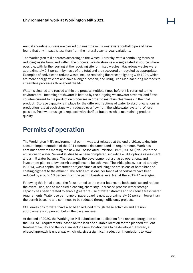Annual shoreline surveys are carried out near the mill's wastewater outfall pipe and have found that any impact is less than from the natural year-to-year variations.

The Workington Mill operates according to the Waste Hierarchy, with a continuing focus on reducing waste from, and within, the process. Waste streams are segregated at source where possible, with further sorting at the receiving site for mixed wastes. Hazardous wastes were approximately 0.6 percent by mass of the total and are recovered or recycled as appropriate. Examples of activities to reduce waste include replacing fluorescent lighting with LEDs, which are more energy efficient and have a longer lifespan, and using Lean Manufacturing methods to streamline processes throughout the Mill.

Water is cleaned and reused within the process multiple times before it is returned to the environment. Incoming freshwater is heated by the outgoing wastewater streams, and flows counter-current to the production processes in order to maintain cleanliness in the final product. Storage capacity is in place for the different fractions of water to absorb variations in production rate at each stage with reduced overflow from the whitewater system. Where possible, freshwater usage is replaced with clarified fractions while maintaining product quality.

### <span id="page-3-0"></span>**Permits of operation**

The Workington Mill's environmental permit was last reissued at the end of 2016, taking into account implementation of the BAT reference document and its requirements. Work has continued towards meeting the new BAT Associated Emission Limit (BAT-AEL) values for the emissions to water. Several studies have been completed, including a BAT options assessment and a mill water balance. The result was the development of a phased operational and investment plan to allow permit compliance to be achieved. The initial phase, started already in 2014, was a capital investment project aimed at reducing the emissions of both fibre and coating pigment to the effluent. The solids emissions per tonne of paperboard have been reduced by around 13 percent from the permit baseline level (set at the 2012-14 average).

Following this initial phase, the focus turned to the water balance to both stabilise and reduce the overall use, and to modified bleaching chemistry. Increased process water storage capacity has been created to enable greater re-use of water streams and so reduce fresh water requirements. Water use per tonne of paperboard is now approximately 20 percent lower than the permit baseline and continues to be reduced through efficiency projects.

COD emissions to water have also been reduced through these activities and are now approximately 20 percent below the baseline level.

At the end of 2020, the Workington Mill submitted an application for a revised derogation on the BAT-AEL requirements, based on the lack of a suitable location for the planned effluent treatment facility and the local impact if a new location was to be developed. Instead, a phased approach is underway which will give a significant reduction in emissions to water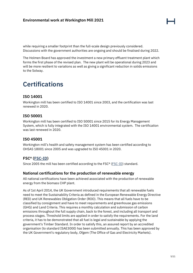while requiring a smaller footprint than the full-scale design previously considered. Discussions with the government authorities are ongoing and should be finalised during 2022.

The Holmen Board has approved the investment a new primary effluent treatment plant which forms the first phase of the revised plan. The new plant will be operational during 2023 and will be more resilient to variations as well as giving a significant reduction in solids emissions to the Solway.

### <span id="page-4-0"></span>**Certifications**

#### <span id="page-4-1"></span>**ISO 14001**

Workington mill has been certified to ISO 14001 since 2003, and the certification was last renewed in 2020.

#### <span id="page-4-2"></span>**ISO 50001**

Workington mill has been certified to ISO 50001 since 2015 for its Energy Management System, which is fully integrated with the ISO 14001 environmental system. The certification was last renewed in 2020.

#### <span id="page-4-3"></span>**ISO 45001**

Workington mill's health and safety management system has been certified according to OHSAS 18001 since 2005 and was upgraded to ISO 45001 in 2020.

#### <span id="page-4-4"></span>**FSC® [\(FSC-ID\)](https://www.holmen.com/en/sustainability/our-sustainability-work/permits-certificates-management-systems/holmens-license-number/)**

Since 2005 the mill has been certified according to the FSC® [\(FSC-ID\)](https://www.holmen.com/en/sustainability/our-sustainability-work/permits-certificates-management-systems/holmens-license-number/) standard.

#### <span id="page-4-5"></span>**National certifications for the production of renewable energy**

All national certifications have been achieved associated with the production of renewable energy from the biomass CHP plant.

As of 1st April 2014, the UK Government introduced requirements that all renewable fuels need to meet the Sustainability Criteria as defined in the European Renewable Energy Directive (RED) and UK Renewables Obligation Order (ROO). This means that all fuels have to be classified by consignment and have to meet requirements and greenhouse gas emissions (GHG) and Land Criteria. This requires a monthly calculation and submission of carbon emissions throughout the full supply chain, back to the forest, and including all transport and process stages. Threshold limits are applied in order to satisfy the requirements. For the land criteria, it has to be demonstrated that all fuel is legal and sustainable by applying the government's Timber Standard. In order to satisfy this, an assured report by an accredited organisation (to standard ISAE3000) has been submitted annually. This has been approved by the UK Government's regulatory body, Ofgem (The Office of Gas and Electricity Markets).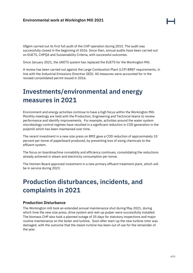Ofgem carried out its first full audit of the CHP operation during 2015. The audit was successfully closed in the beginning of 2016. Since then, annual audits have been carried out on EUETS, CHPQA and Sustainability Criteria, with successful outcomes.

Since January 2021, the UKETS system has replaced the EUETS for the Workington Mill.

A review has been carried out against the Large Combustion Plant (LCP) BREF requirements, in line with the Industrial Emissions Directive (IED). All measures were accounted for in the revised consolidated permit issued in 2016.

### <span id="page-5-0"></span>**Investments/environmental and energy measures in 2021**

Environment and energy activities continue to have a high focus within the Workington Mill. Monthly meetings are held with the Production, Engineering and Technical teams to review performance and identify improvements. For example, activities around the water system microbiology-control regimes have resulted in a significant reduction in COD generation in the pulpmill which has been maintained over time.

The recent investment in a new size press on BM2 gave a COD reduction of approximately 10 percent per tonne of paperboard produced, by preventing loss of sizing chemicals to the effluent system.

The focus on boardmachine runnability and efficiency continues, consolidating the reductions already achieved in steam and electricity consumption per tonne.

The Holmen Board approved investment in a new primary effluent treatment plant, which will be in service during 2023.

### <span id="page-5-1"></span>**Production disturbances, incidents, and complaints in 2021**

### <span id="page-5-2"></span>**Production Disturbance**

The Workington mill took an extended annual maintenance shut during May 2021, during which time the new size press, drive system and reel-up pulper were successfully installed. The biomass CHP also took a planned outage of 35 days for statutory inspections and major routine maintenance on the boiler and turbine. Soon after start-up the new turbine rotor was damaged, with the outcome that the steam turbine has been out of use for the remainder of the year.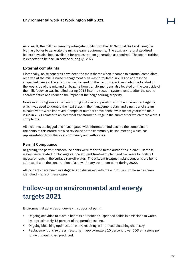As a result, the mill has been importing electricity from the UK National Grid and using the biomass boiler to generate the mill's steam requirements. The auxiliary natural gas-fired boilers have also been available for process steam generation as required. The steam turbine is expected to be back in service during Q1 2022.

#### <span id="page-6-0"></span>**External complaints**

Historically, noise concerns have been the main theme when it comes to external complaints received at the mill. A noise management plan was formulated in 2014 to address the suspected causes. The attention was focused on the vacuum stack vent which is located on the west side of the mill and on buzzing from transformer pens also located on the west side of the mill. A device was installed during 2015 into the vacuum system vent to alter the sound characteristics and reduced the impact at the neighbouring property.

Noise monitoring was carried out during 2017 in co-operation with the Environment Agency which was used to identify the next steps in the management plan, and a number of steam exhaust vents were improved. Complaint numbers have been low in recent years; the main issue in 2021 related to an electrical transformer outage in the summer for which there were 3 complaints.

All incidents are logged and investigated with information fed back to the complainant. Incidents of this nature are also reviewed at the community liaison meeting which has representation from the local community and authorities.

### <span id="page-6-1"></span>**Permit Compliance**

Regarding the permit, thirteen incidents were reported to the authorities in 2021. Of these, eleven were related to blockages at the effluent treatment plant and two were for high pH measurements in the surface run-off water. The effluent treatment plant concerns are being addressed with the construction of a new primary treatment plant during 2022.

All incidents have been investigated and discussed with the authorities. No harm has been identified in any of these cases.

### <span id="page-6-2"></span>**Follow-up on environmental and energy targets 2021**

Environmental activities underway in support of permit:

- Ongoing activities to sustain benefits of reduced suspended solids in emissions to water, by approximately 13 percent of the permit baseline.
- Ongoing bleaching optimization work, resulting in improved bleaching chemistry.
- Replacement of size press, resulting in approximately 10 percent lower COD emissions per tonne of paperboard produced.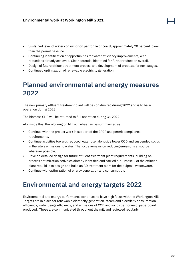- Sustained level of water consumption per tonne of board, approximately 20 percent lower than the permit baseline.
- Continuing identification of opportunities for water efficiency improvements, with reductions already achieved. Clear potential identified for further reduction overall.
- Design of future effluent treatment process and development of proposal for next stages.
- Continued optimization of renewable electricity generation.

### <span id="page-7-0"></span>**Planned environmental and energy measures 2022**

The new primary effluent treatment plant will be constructed during 2022 and is to be in operation during 2023.

The biomass CHP will be returned to full operation during Q1 2022.

Alongside this, the Workington Mill activities can be summarized as:

- Continue with the project work in support of the BREF and permit compliance requirements.
- Continue activities towards reduced water use, alongside lower COD and suspended solids in the site's emissions to water. The focus remains on reducing emissions at source wherever possible.
- Develop detailed design for future effluent treatment plant requirements, building on process optimization activities already identified and carried out. Phase 2 of the effluent plant rebuild is to design and build an AD treatment plant for the pulpmill wastewater.
- Continue with optimization of energy generation and consumption.

### <span id="page-7-1"></span>**Environmental and energy targets 2022**

Environmental and energy performance continues to have high focus with the Workington Mill. Targets are in place for renewable electricity generation, steam and electricity consumption efficiency, water usage efficiency, and emissions of COD and solids per tonne of paperboard produced. These are communicated throughout the mill and reviewed regularly.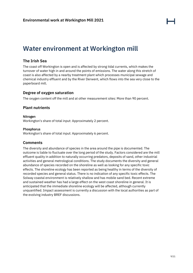

### <span id="page-8-0"></span>**Water environment at Workington mill**

#### <span id="page-8-1"></span>**The Irish Sea**

The coast off Workington is open and is affected by strong tidal currents, which makes the turnover of water high in and around the points of emissions. The water along this stretch of coast is also affected by a nearby treatment plant which processes municipal sewage and chemical industry effluent and by the River Derwent, which flows into the sea very close to the paperboard mill.

#### <span id="page-8-2"></span>**Degree of oxygen saturation**

The oxygen content off the mill and at other measurement sites: More than 90 percent.

#### <span id="page-8-3"></span>**Plant nutrients**

#### <span id="page-8-4"></span>Nitrogen

Workington's share of total input: Approximately 2 percent.

#### <span id="page-8-5"></span>**Phosphorus**

Workington's share of total input: Approximately 6 percent.

#### <span id="page-8-6"></span>**Comments**

The diversity and abundance of species in the area around the pipe is documented. The outcome is liable to fluctuate over the long period of the study. Factors considered are the mill effluent quality in addition to naturally occurring predators, deposits of sand, other industrial activities and general metrological conditions. The study documents the diversity and general abundance of species recorded on the shoreline as well as looking for any specific toxic effects. The shoreline ecology has been reported as being healthy in terms of the diversity of recorded species and general status. There is no indication of any specific toxic effects. The Solway coastal environment is relatively shallow and has mobile sand bed. Recent extreme and sustained weather has had a large effect on the west coast shoreline in general. It is anticipated that the immediate shoreline ecology will be affected, although currently unquantified. Impact assessment is currently a discussion with the local authorities as part of the evolving industry BREF discussions.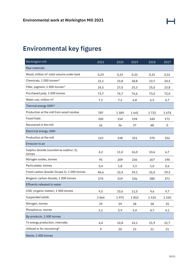## <span id="page-9-0"></span>**Environmental key figures**

| Workington mill                                      | 2021 | 2020 | 2019 | 2018 | 2017 |
|------------------------------------------------------|------|------|------|------|------|
| Raw materials                                        |      |      |      |      |      |
| Wood, million m <sup>3</sup> solid volume under bark | 0,29 | 0,33 | 0,33 | 0,31 | 0,31 |
| Chemicals, 1 000 tonnes <sup>1)</sup>                | 22,1 | 23,8 | 28,8 | 23,7 | 24,5 |
| Filler, pigment, 1 000 tonnes <sup>1)</sup>          | 24,5 | 27,0 | 25,3 | 25,0 | 23,8 |
| Purchased pulp, 1 000 tonnes                         | 73,7 | 76,7 | 76,6 | 73,0 | 72,0 |
| Water use, million m <sup>3</sup>                    | 7,1  | 7,2  | 6,8  | 6,5  | 6,7  |
| Thermal energy GWh <sup>2)</sup>                     |      |      |      |      |      |
| Production at the mill from wood residue             | 787  | 1589 | 1641 | 1722 | 1674 |
| Fossil fuels                                         | 200  | 154  | 194  | 140  | 171  |
| Recovered in the mill                                | 26   | 36   | 37   | 48   | 0    |
| Electrical energy, GWh                               |      |      |      |      |      |
| Production at the mill                               | 123  | 338  | 351  | 370  | 352  |
| Emission to air                                      |      |      |      |      |      |
| Sulphur dioxide (counted as sulphur, S),<br>tonnes   | 4,2  | 11,0 | 16,0 | 10,6 | 6,7  |
| Nitrogen oxides, tonnes                              | 95   | 209  | 236  | 267  | 190  |
| Particulates, tonnes                                 | 0,4  | 1,8  | 3,3  | 1,0  | 0,6  |
| Fossil carbon dioxide (Scope 1), 1 000 tonnes        | 40,6 | 32,4 | 39,1 | 26,0 | 29,5 |
| Biogenic carbon dioxide, 1 000 tonnes                | 274  | 519  | 536  | 580  | 571  |
| Effluents released to water                          |      |      |      |      |      |
| COD, (organic matter), 1 000 tonnes                  | 9,5  | 10,6 | 11,0 | 9,6  | 9,7  |
| Suspended solids                                     | 2064 | 1975 | 1810 | 1510 | 1320 |
| Nitrogen, tonnes                                     | 29   | 39   | 38   | 38   | 25   |
| Phosphorus, tonnes                                   | 5,1  | 5,9  | 5,4  | 4,7  | 4,1  |
| By-products, 1 000 tonnes                            |      |      |      |      |      |
| To energy production, internally                     | 4,4  | 10,8 | 14,1 | 21,9 | 21,7 |
| Utilised or for recovering <sup>2)</sup>             | 9    | 20   | 23   | 21   | 21   |
| Waste, 1 000 tonnes                                  |      |      |      |      |      |